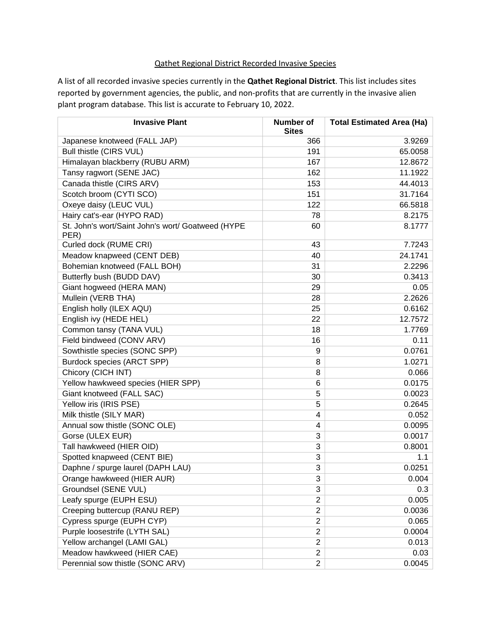## Qathet Regional District Recorded Invasive Species

A list of all recorded invasive species currently in the **Qathet Regional District**. This list includes sites reported by government agencies, the public, and non-profits that are currently in the invasive alien plant program database. This list is accurate to February 10, 2022.

| <b>Invasive Plant</b>                                     | Number of<br><b>Sites</b> | <b>Total Estimated Area (Ha)</b> |
|-----------------------------------------------------------|---------------------------|----------------------------------|
| Japanese knotweed (FALL JAP)                              | 366                       | 3.9269                           |
| Bull thistle (CIRS VUL)                                   | 191                       | 65.0058                          |
| Himalayan blackberry (RUBU ARM)                           | 167                       | 12.8672                          |
| Tansy ragwort (SENE JAC)                                  | 162                       | 11.1922                          |
| Canada thistle (CIRS ARV)                                 | 153                       | 44.4013                          |
| Scotch broom (CYTI SCO)                                   | 151                       | 31.7164                          |
| Oxeye daisy (LEUC VUL)                                    | 122                       | 66.5818                          |
| Hairy cat's-ear (HYPO RAD)                                | 78                        | 8.2175                           |
| St. John's wort/Saint John's wort/ Goatweed (HYPE<br>PER) | 60                        | 8.1777                           |
| Curled dock (RUME CRI)                                    | 43                        | 7.7243                           |
| Meadow knapweed (CENT DEB)                                | 40                        | 24.1741                          |
| Bohemian knotweed (FALL BOH)                              | 31                        | 2.2296                           |
| Butterfly bush (BUDD DAV)                                 | 30                        | 0.3413                           |
| Giant hogweed (HERA MAN)                                  | 29                        | 0.05                             |
| Mullein (VERB THA)                                        | 28                        | 2.2626                           |
| English holly (ILEX AQU)                                  | 25                        | 0.6162                           |
| English ivy (HEDE HEL)                                    | 22                        | 12.7572                          |
| Common tansy (TANA VUL)                                   | 18                        | 1.7769                           |
| Field bindweed (CONV ARV)                                 | 16                        | 0.11                             |
| Sowthistle species (SONC SPP)                             | 9                         | 0.0761                           |
| Burdock species (ARCT SPP)                                | 8                         | 1.0271                           |
| Chicory (CICH INT)                                        | 8                         | 0.066                            |
| Yellow hawkweed species (HIER SPP)                        | 6                         | 0.0175                           |
| Giant knotweed (FALL SAC)                                 | 5                         | 0.0023                           |
| Yellow iris (IRIS PSE)                                    | 5                         | 0.2645                           |
| Milk thistle (SILY MAR)                                   | 4                         | 0.052                            |
| Annual sow thistle (SONC OLE)                             | 4                         | 0.0095                           |
| Gorse (ULEX EUR)                                          | 3                         | 0.0017                           |
| Tall hawkweed (HIER OID)                                  | 3                         | 0.8001                           |
| Spotted knapweed (CENT BIE)                               | 3                         | 1.1                              |
| Daphne / spurge laurel (DAPH LAU)                         | 3                         | 0.0251                           |
| Orange hawkweed (HIER AUR)                                | 3                         | 0.004                            |
| Groundsel (SENE VUL)                                      | 3                         | 0.3                              |
| Leafy spurge (EUPH ESU)                                   | $\overline{2}$            | 0.005                            |
| Creeping buttercup (RANU REP)                             | $\overline{2}$            | 0.0036                           |
| Cypress spurge (EUPH CYP)                                 | $\overline{c}$            | 0.065                            |
| Purple loosestrife (LYTH SAL)                             | $\overline{\mathbf{c}}$   | 0.0004                           |
| Yellow archangel (LAMI GAL)                               | $\overline{2}$            | 0.013                            |
| Meadow hawkweed (HIER CAE)                                | $\overline{2}$            | 0.03                             |
| Perennial sow thistle (SONC ARV)                          | $\overline{2}$            | 0.0045                           |